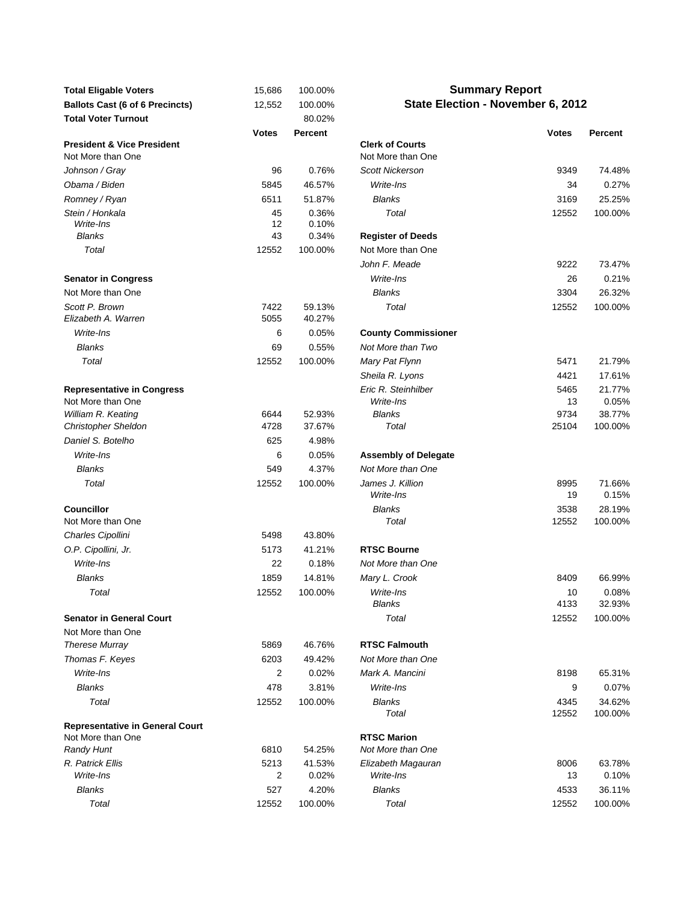| <b>Total Eligable Voters</b>                               | 15,686       | 100.00%          |                                             | <b>Summary Report</b>             |                   |
|------------------------------------------------------------|--------------|------------------|---------------------------------------------|-----------------------------------|-------------------|
| <b>Ballots Cast (6 of 6 Precincts)</b>                     | 12,552       | 100.00%          |                                             | State Election - November 6, 2012 |                   |
| <b>Total Voter Turnout</b>                                 |              | 80.02%           |                                             |                                   |                   |
|                                                            | <b>Votes</b> | <b>Percent</b>   |                                             | <b>Votes</b>                      | Percent           |
| <b>President &amp; Vice President</b><br>Not More than One |              |                  | <b>Clerk of Courts</b><br>Not More than One |                                   |                   |
| Johnson / Gray                                             | 96           | 0.76%            | <b>Scott Nickerson</b>                      | 9349                              | 74.48%            |
| Obama / Biden                                              | 5845         | 46.57%           | Write-Ins                                   | 34                                | 0.27%             |
| Romney / Ryan                                              | 6511         | 51.87%           | <b>Blanks</b>                               | 3169                              | 25.25%            |
| Stein / Honkala                                            | 45           | 0.36%            | Total                                       | 12552                             | 100.00%           |
| Write-Ins                                                  | 12           | 0.10%            |                                             |                                   |                   |
| <b>Blanks</b>                                              | 43           | 0.34%            | <b>Register of Deeds</b>                    |                                   |                   |
| Total                                                      | 12552        | 100.00%          | Not More than One                           |                                   |                   |
|                                                            |              |                  | John F. Meade                               | 9222                              | 73.47%            |
| <b>Senator in Congress</b>                                 |              |                  | Write-Ins                                   | 26                                | 0.21%             |
| Not More than One                                          |              |                  | <b>Blanks</b>                               | 3304                              | 26.32%            |
| Scott P. Brown<br>Elizabeth A. Warren                      | 7422<br>5055 | 59.13%<br>40.27% | Total                                       | 12552                             | 100.00%           |
| Write-Ins                                                  | 6            | 0.05%            | <b>County Commissioner</b>                  |                                   |                   |
| <b>Blanks</b>                                              | 69           | 0.55%            | Not More than Two                           |                                   |                   |
| Total                                                      | 12552        | 100.00%          | Mary Pat Flynn                              | 5471                              | 21.79%            |
|                                                            |              |                  | Sheila R. Lyons                             | 4421                              | 17.61%            |
| <b>Representative in Congress</b>                          |              |                  | Eric R. Steinhilber                         | 5465                              | 21.77%            |
| Not More than One                                          |              |                  | Write-Ins                                   | 13                                | 0.05%             |
| William R. Keating                                         | 6644         | 52.93%           | <b>Blanks</b>                               | 9734                              | 38.77%            |
| <b>Christopher Sheldon</b>                                 | 4728         | 37.67%           | Total                                       | 25104                             | 100.00%           |
| Daniel S. Botelho                                          | 625          | 4.98%            |                                             |                                   |                   |
| Write-Ins                                                  | 6            | 0.05%            | <b>Assembly of Delegate</b>                 |                                   |                   |
| <b>Blanks</b>                                              | 549          | 4.37%            | Not More than One                           |                                   |                   |
| Total                                                      | 12552        | 100.00%          | James J. Killion<br>Write-Ins               | 8995<br>19                        | 71.66%<br>0.15%   |
| <b>Councillor</b><br>Not More than One                     |              |                  | <b>Blanks</b><br>Total                      | 3538<br>12552                     | 28.19%<br>100.00% |
| Charles Cipollini                                          | 5498         | 43.80%           |                                             |                                   |                   |
| O.P. Cipollini, Jr.                                        | 5173         | 41.21%           | <b>RTSC Bourne</b>                          |                                   |                   |
| Write-Ins                                                  | 22           | 0.18%            | Not More than One                           |                                   |                   |
| <b>Blanks</b>                                              |              |                  |                                             |                                   |                   |
|                                                            | 1859         | 14.81%           | Mary L. Crook                               | 8409                              | 66.99%<br>0.08%   |
| Total                                                      | 12552        | 100.00%          | Write-Ins<br>Blanks                         | 10<br>4133                        | 32.93%            |
| <b>Senator in General Court</b>                            |              |                  | Total                                       | 12552                             | 100.00%           |
| Not More than One                                          |              |                  |                                             |                                   |                   |
| <b>Therese Murray</b>                                      | 5869         | 46.76%           | <b>RTSC Falmouth</b>                        |                                   |                   |
| Thomas F. Keyes                                            | 6203         | 49.42%           | Not More than One                           |                                   |                   |
| Write-Ins                                                  | 2            | 0.02%            | Mark A. Mancini                             | 8198                              | 65.31%            |
| <b>Blanks</b>                                              | 478          | 3.81%            | Write-Ins                                   | 9                                 | 0.07%             |
| Total                                                      | 12552        | 100.00%          | Blanks                                      | 4345                              | 34.62%            |
|                                                            |              |                  | Total                                       | 12552                             | 100.00%           |
| <b>Representative in General Court</b>                     |              |                  |                                             |                                   |                   |
| Not More than One<br><b>Randy Hunt</b>                     | 6810         | 54.25%           | <b>RTSC Marion</b><br>Not More than One     |                                   |                   |
| R. Patrick Ellis                                           | 5213         | 41.53%           | Elizabeth Magauran                          | 8006                              | 63.78%            |
| Write-Ins                                                  | 2            | 0.02%            | Write-Ins                                   | 13                                | 0.10%             |
| <b>Blanks</b>                                              | 527          | 4.20%            | <b>Blanks</b>                               | 4533                              | 36.11%            |
| Total                                                      | 12552        | 100.00%          | Total                                       | 12552                             | 100.00%           |

## **Summary Report State Election - November 6, 2012**

| Votes        | <b>Percent</b>   |                               | <b>Votes</b> | <b>Percent</b>  |
|--------------|------------------|-------------------------------|--------------|-----------------|
|              |                  | <b>Clerk of Courts</b>        |              |                 |
|              |                  | Not More than One             |              |                 |
| 96           | 0.76%            | <b>Scott Nickerson</b>        | 9349         | 74.48%          |
| 5845         | 46.57%           | Write-Ins                     | 34           | 0.27%           |
| 6511         | 51.87%           | <b>Blanks</b>                 | 3169         | 25.25%          |
| 45           | 0.36%            | Total                         | 12552        | 100.00%         |
| 12           | 0.10%            |                               |              |                 |
| 43           | 0.34%            | <b>Register of Deeds</b>      |              |                 |
| 12552        | 100.00%          | Not More than One             |              |                 |
|              |                  | John F. Meade                 | 9222         | 73.47%          |
|              |                  | Write-Ins                     | 26           | 0.21%           |
|              |                  | <b>Blanks</b>                 | 3304         | 26.32%          |
| 7422<br>5055 | 59.13%<br>40.27% | Total                         | 12552        | 100.00%         |
| 6            | 0.05%            | <b>County Commissioner</b>    |              |                 |
| 69           | 0.55%            | Not More than Two             |              |                 |
| 12552        | 100.00%          | Mary Pat Flynn                | 5471         | 21.79%          |
|              |                  | Sheila R. Lyons               | 4421         | 17.61%          |
|              |                  | Eric R. Steinhilber           | 5465         | 21.77%          |
|              |                  | Write-Ins                     | 13           | 0.05%           |
| 6644         | 52.93%           | <b>Blanks</b>                 | 9734         | 38.77%          |
| 4728         | 37.67%           | Total                         | 25104        | 100.00%         |
| 625          | 4.98%            |                               |              |                 |
| 6            | 0.05%            | <b>Assembly of Delegate</b>   |              |                 |
| 549          | 4.37%            | Not More than One             |              |                 |
| 12552        | 100.00%          | James J. Killion<br>Write-Ins | 8995<br>19   | 71.66%<br>0.15% |
|              |                  | <b>Blanks</b>                 | 3538         | 28.19%          |
|              |                  | Total                         | 12552        | 100.00%         |
| 5498         | 43.80%           |                               |              |                 |
| 5173         | 41.21%           | <b>RTSC Bourne</b>            |              |                 |
| 22           | 0.18%            | Not More than One             |              |                 |
| 1859         | 14.81%           | Mary L. Crook                 | 8409         | 66.99%          |
| 12552        | 100.00%          | Write-Ins                     | 10           | 0.08%           |
|              |                  | <b>Blanks</b>                 | 4133         | 32.93%          |
|              |                  | Total                         | 12552        | 100.00%         |
| 5869         | 46.76%           | <b>RTSC Falmouth</b>          |              |                 |
| 6203         | 49.42%           | Not More than One             |              |                 |
| 2            | 0.02%            | Mark A. Mancini               | 8198         | 65.31%          |
| 478          | 3.81%            | Write-Ins                     | 9            | 0.07%           |
| 12552        | 100.00%          | <b>Blanks</b>                 | 4345         | 34.62%          |
|              |                  | Total                         | 12552        | 100.00%         |
|              |                  |                               |              |                 |
|              |                  | <b>RTSC Marion</b>            |              |                 |
| 6810         | 54.25%           | Not More than One             |              |                 |
| 5213         | 41.53%           | Elizabeth Magauran            | 8006         | 63.78%          |
| 2            | 0.02%            | Write-Ins                     | 13           | 0.10%           |
| 527          | 4.20%            | <b>Blanks</b>                 | 4533         | 36.11%          |
| 12552        | 100.00%          | Total                         | 12552        | 100.00%         |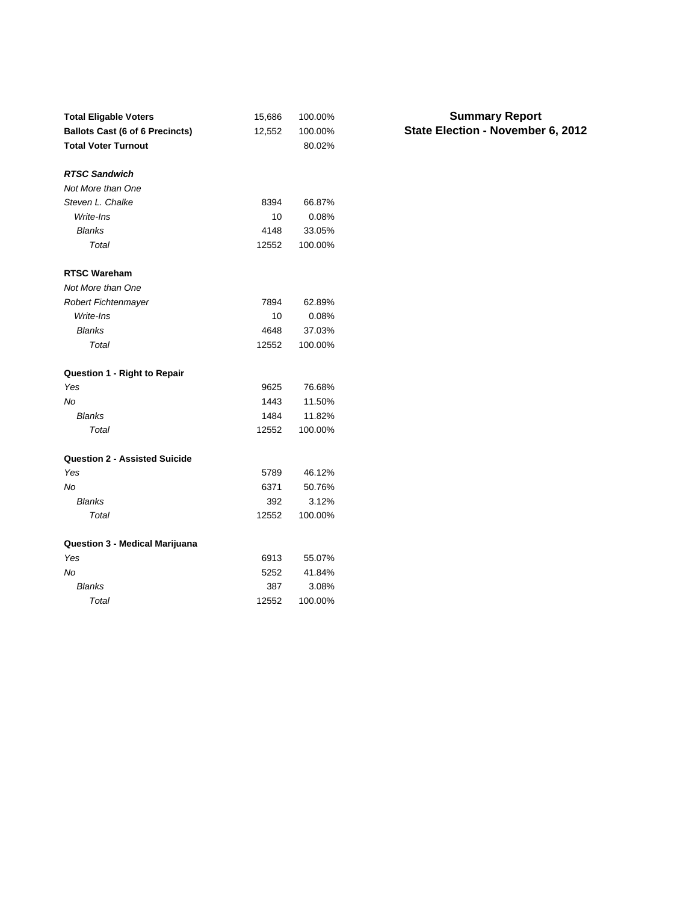| <b>Total Eligable Voters</b>           | 15,686 | 100.00% |
|----------------------------------------|--------|---------|
| <b>Ballots Cast (6 of 6 Precincts)</b> | 12,552 | 100.00% |
| <b>Total Voter Turnout</b>             |        | 80.02%  |
|                                        |        |         |
| <b>RTSC Sandwich</b>                   |        |         |
| Not More than One                      |        |         |
| Steven L. Chalke                       | 8394   | 66.87%  |
| Write-Ins                              | 10     | 0.08%   |
| <b>Blanks</b>                          | 4148   | 33.05%  |
| Total                                  | 12552  | 100.00% |
| <b>RTSC Wareham</b>                    |        |         |
| Not More than One                      |        |         |
| <b>Robert Fichtenmayer</b>             | 7894   | 62.89%  |
| Write-Ins                              | 10     | 0.08%   |
| <b>Blanks</b>                          | 4648   | 37.03%  |
| Total                                  | 12552  | 100.00% |
| <b>Question 1 - Right to Repair</b>    |        |         |
| Yes                                    | 9625   | 76.68%  |
| No                                     | 1443   | 11.50%  |
| <b>Blanks</b>                          | 1484   | 11.82%  |
| Total                                  | 12552  | 100.00% |
| <b>Question 2 - Assisted Suicide</b>   |        |         |
| Yes                                    | 5789   | 46.12%  |
| Nο                                     | 6371   | 50.76%  |
| Blanks                                 | 392    | 3.12%   |
| Total                                  | 12552  | 100.00% |
| Question 3 - Medical Marijuana         |        |         |
| Yes                                    | 6913   | 55.07%  |
| No                                     | 5252   | 41.84%  |
| <b>Blanks</b>                          | 387    | 3.08%   |
| Total                                  | 12552  | 100.00% |

## **State Election - November 6, 2012 Summary Report**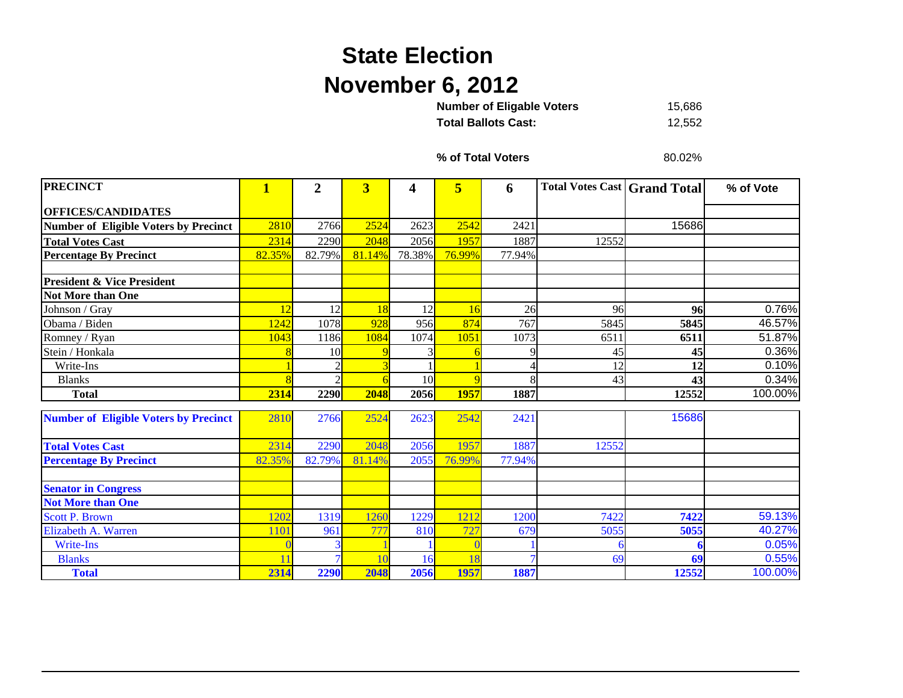## **State Election November 6, 2012**

15,686 **Total Ballots Cast:** 12,552 **Number of Eligable Voters** 

**% of Total Voters**

80.02%

| <b>PRECINCT</b>                              | $\mathbf{1}$ | $\overline{2}$ | $\overline{\mathbf{3}}$ | 4               | 5      | 6      | <b>Total Votes Cast   Grand Total</b> |       | % of Vote |
|----------------------------------------------|--------------|----------------|-------------------------|-----------------|--------|--------|---------------------------------------|-------|-----------|
| <b>OFFICES/CANDIDATES</b>                    |              |                |                         |                 |        |        |                                       |       |           |
| <b>Number of Eligible Voters by Precinct</b> | 2810         | 2766           | 2524                    | 2623            | 2542   | 2421   |                                       | 15686 |           |
| <b>Total Votes Cast</b>                      | 2314         | 2290           | 2048                    | 2056            | 1957   | 1887   | 12552                                 |       |           |
| <b>Percentage By Precinct</b>                | 82.35%       | 82.79%         | 81.14%                  | 78.38%          | 76.99% | 77.94% |                                       |       |           |
|                                              |              |                |                         |                 |        |        |                                       |       |           |
| <b>President &amp; Vice President</b>        |              |                |                         |                 |        |        |                                       |       |           |
| <b>Not More than One</b>                     |              |                |                         |                 |        |        |                                       |       |           |
| Johnson / Gray                               | 12           | 12             | 18                      | 12              | 16     | 26     | 96                                    | 96    | 0.76%     |
| Obama / Biden                                | 1242         | 1078           | 928                     | 956             | 874    | 767    | 5845                                  | 5845  | 46.57%    |
| Romney / Ryan                                | 1043         | 1186           | 1084                    | 1074            | 1051   | 1073   | 6511                                  | 6511  | 51.87%    |
| Stein / Honkala                              |              | 10             |                         |                 |        |        | 45                                    | 45    | 0.36%     |
| Write-Ins                                    |              |                |                         |                 |        |        | 12                                    | 12    | 0.10%     |
| <b>Blanks</b>                                |              | C              |                         | 10 <sup>l</sup> |        |        | 43                                    | 43    | 0.34%     |
| <b>Total</b>                                 | 2314         | 2290           | 2048                    | 2056            | 1957   | 1887   |                                       | 12552 | 100.00%   |
| <b>Number of Eligible Voters by Precinct</b> | 2810         | 2766           | 2524                    | 2623            | 2542   | 2421   |                                       | 15686 |           |
|                                              |              |                |                         |                 |        |        |                                       |       |           |
| <b>Total Votes Cast</b>                      | 2314         | 2290           | 2048                    | 2056            | 1957   | 1887   | 12552                                 |       |           |
| <b>Percentage By Precinct</b>                | 82.35%       | 82.79%         | 81.14%                  | 2055            | 76.99% | 77.94% |                                       |       |           |
| <b>Senator in Congress</b>                   |              |                |                         |                 |        |        |                                       |       |           |
| <b>Not More than One</b>                     |              |                |                         |                 |        |        |                                       |       |           |
| <b>Scott P. Brown</b>                        | 1202         | 1319           | 1260                    | 1229            | 1212   | 1200   | 7422                                  | 7422  | 59.13%    |
| Elizabeth A. Warren                          | 110          | 961            | 777                     | 810             | 727    | 679    | 5055                                  | 5055  | 40.27%    |
| <b>Write-Ins</b>                             |              |                |                         |                 |        |        |                                       |       | 0.05%     |
| <b>Blanks</b>                                |              |                | 10                      | 16              | 18     |        | 69                                    | 69    | 0.55%     |
| <b>Total</b>                                 | 2314         | 2290           | 2048                    | 2056            | 1957   | 1887   |                                       | 12552 | 100.00%   |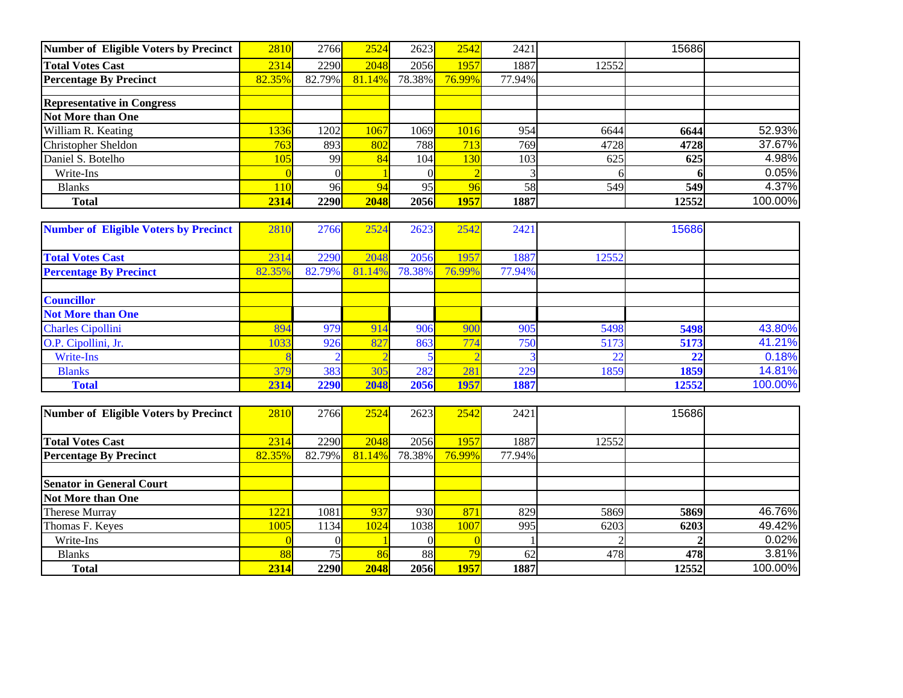| <b>Number of Eligible Voters by Precinct</b> | 2810            | 2766        | 2524   | 2623        | 2542   | 2421   |       | 15686 |         |
|----------------------------------------------|-----------------|-------------|--------|-------------|--------|--------|-------|-------|---------|
| <b>Total Votes Cast</b>                      | 2314            | 2290        | 2048   | 2056        | 1957   | 1887   | 12552 |       |         |
| <b>Percentage By Precinct</b>                | 82.35%          | 82.79%      | 81.14% | 78.38%      | 76.99% | 77.94% |       |       |         |
|                                              |                 |             |        |             |        |        |       |       |         |
| <b>Representative in Congress</b>            |                 |             |        |             |        |        |       |       |         |
| <b>Not More than One</b>                     |                 |             |        |             |        |        |       |       |         |
| William R. Keating                           | 336             | 1202        | 1067   | 1069        | 1016   | 954    | 6644  | 6644  | 52.93%  |
| Christopher Sheldon                          | 763             | 893         | 802    | <b>788</b>  | 713    | 769    | 4728  | 4728  | 37.67%  |
| Daniel S. Botelho                            | 05              | 99          | 84     | 104         | 130    | 103    | 625   | 625   | 4.98%   |
| Write-Ins                                    |                 |             |        |             |        |        |       |       | 0.05%   |
| <b>Blanks</b>                                | 10 <sup>1</sup> | 96          |        | 95          |        | 58     | 549   | 549   | 4.37%   |
| <b>Total</b>                                 | 2314            | <b>2290</b> | 2048   | <b>2056</b> | 1957   | 1887   |       | 12552 | 100.00% |

| <b>Number of Eligible Voters by Precinct</b> | 2810   | 2766   | 2524   | 2623   | 2542   | 2421   |               | 15686 |         |
|----------------------------------------------|--------|--------|--------|--------|--------|--------|---------------|-------|---------|
|                                              |        |        |        |        |        |        |               |       |         |
| <b>Total Votes Cast</b>                      | 2314   | 2290   | 2048   | 2056   | 957    | 1887   | 12552         |       |         |
| <b>Percentage By Precinct</b>                | 82.35% | 82.79% | 81.14% | 78.38% | 76.99% | 77.94% |               |       |         |
|                                              |        |        |        |        |        |        |               |       |         |
| <b>Councillor</b>                            |        |        |        |        |        |        |               |       |         |
| <b>Not More than One</b>                     |        |        |        |        |        |        |               |       |         |
| <b>Charles Cipollini</b>                     | 894    | 979    | 914    | 906    | 900    | 905    | 5498          | 5498  | 43.80%  |
| O.P. Cipollini, Jr.                          | 1033   | 926    | 827    | 863    | 774    | 750    | 5173          | 5173  | 41.21%  |
| Write-Ins                                    |        |        |        |        |        |        | $\mathcal{D}$ | 22    | 0.18%   |
| <b>Blanks</b>                                | 379    | 383    | 305    | 282    | 281    | 229    | 1859          | 1859  | 14.81%  |
| <b>Total</b>                                 | 2314   | 2290   | 2048   | 2056   | 1957   | 1887   |               | 12552 | 100.00% |

| Number of Eligible Voters by Precinct | 2810   | 2766   | 2524   | 2623        | 2542   | 2421   |       | 15686 |         |
|---------------------------------------|--------|--------|--------|-------------|--------|--------|-------|-------|---------|
|                                       |        |        |        |             |        |        |       |       |         |
| <b>Total Votes Cast</b>               | 2314   | 2290   | 2048   | 2056        | 1957   | 1887   | 12552 |       |         |
| <b>Percentage By Precinct</b>         | 82.35% | 82.79% | 81.14% | 78.38%      | 76.99% | 77.94% |       |       |         |
|                                       |        |        |        |             |        |        |       |       |         |
| <b>Senator in General Court</b>       |        |        |        |             |        |        |       |       |         |
| <b>Not More than One</b>              |        |        |        |             |        |        |       |       |         |
| <b>Therese Murray</b>                 | 1221   | 1081   | 937    | 930l        | 871    | 829    | 5869  | 5869  | 46.76%  |
| Thomas F. Keyes                       | 1005   | 1134   | 1024   | 1038I       | 1007   | 995    | 6203  | 6203  | 49.42%  |
| Write-Ins                             |        |        |        |             |        |        |       |       | 0.02%   |
| <b>Blanks</b>                         | 88     | 75     |        | <b>88</b>   | 79     | 62     | 478   | 478   | 3.81%   |
| <b>Total</b>                          | 2314   | 2290   | 2048   | <b>2056</b> | 1957   | 1887   |       | 12552 | 100.00% |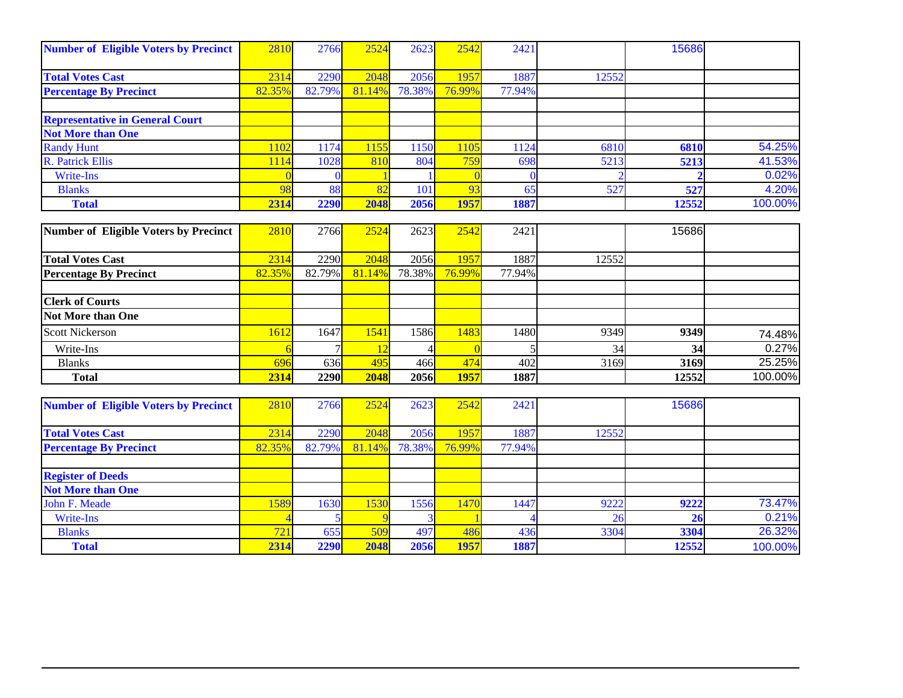| <b>Number of Eligible Voters by Precinct</b> | 281    | 2766   | 2524                    | 2623       | 2542   | 2421   |       | 15686 |         |
|----------------------------------------------|--------|--------|-------------------------|------------|--------|--------|-------|-------|---------|
|                                              |        |        |                         |            |        |        |       |       |         |
| <b>Total Votes Cast</b>                      | 2314   | 2290   | 2048                    | 2056       | 1957   | 1887   | 12552 |       |         |
| <b>Percentage By Precinct</b>                | 82.35% | 82.79% | 81.14%                  | 78.38%     | 76.99% | 77.94% |       |       |         |
|                                              |        |        |                         |            |        |        |       |       |         |
| <b>Representative in General Court</b>       |        |        |                         |            |        |        |       |       |         |
| <b>Not More than One</b>                     |        |        |                         |            |        |        |       |       |         |
| <b>Randy Hunt</b>                            | 1102   | 174    | 155                     | <b>150</b> | 105    | 1124   | 6810  | 6810  | 54.25%  |
| <b>R.</b> Patrick Ellis                      | 1114   | 1028   | 810                     | 804        | 759    | 698    | 5213  | 5213  | 41.53%  |
| Write-Ins                                    |        |        |                         |            |        |        |       |       | 0.02%   |
| <b>Blanks</b>                                | 98     | 88     | $\mathbf{O} \mathbf{O}$ | 101        | 93     | 65     | 527   | 527   | 4.20%   |
| <b>Total</b>                                 | 2314   | 2290   | 2048                    | 2056       | 1957   | 1887   |       | 12552 | 100.00% |

| Number of Eligible Voters by Precinct | 2810   | 2766        | 2524   | 2623        | 2542          | 2421   |       | 15686 |         |
|---------------------------------------|--------|-------------|--------|-------------|---------------|--------|-------|-------|---------|
|                                       |        |             |        |             |               |        |       |       |         |
| <b>Total Votes Cast</b>               | 2314   | 2290        | 2048   | 2056        | <b>1957</b>   | 1887   | 12552 |       |         |
| <b>Percentage By Precinct</b>         | 82.35% | 82.79%      | 81.14% | 78.38%      | <b>76.99%</b> | 77.94% |       |       |         |
|                                       |        |             |        |             |               |        |       |       |         |
| <b>Clerk of Courts</b>                |        |             |        |             |               |        |       |       |         |
| <b>Not More than One</b>              |        |             |        |             |               |        |       |       |         |
| <b>Scott Nickerson</b>                | 1612   | 1647        | [54]   | 1586L       | 1483          | 1480   | 9349  | 9349  | 74.48%  |
| Write-Ins                             |        |             |        |             |               |        | 34    | 34    | 0.27%   |
| <b>Blanks</b>                         | 696    | 636         | 495    | 466         | 474           | 402    | 3169  | 3169  | 25.25%  |
| <b>Total</b>                          | 2314   | <b>2290</b> | 2048   | <b>2056</b> | <b>1957</b>   | 1887   |       | 12552 | 100.00% |

| <b>Number of Eligible Voters by Precinct</b> | 281             | 2766   | 2524   | 2623   | 2542   | 2421   |       | 15686 |         |
|----------------------------------------------|-----------------|--------|--------|--------|--------|--------|-------|-------|---------|
|                                              |                 |        |        |        |        |        |       |       |         |
| <b>Total Votes Cast</b>                      | 2314            | 2290   | 2048   | 2056   | 1957   | 1887   | 12552 |       |         |
| <b>Percentage By Precinct</b>                | 82.35%          | 82.79% | 81.14% | 78.38% | 76.99% | 77.94% |       |       |         |
|                                              |                 |        |        |        |        |        |       |       |         |
| <b>Register of Deeds</b>                     |                 |        |        |        |        |        |       |       |         |
| <b>Not More than One</b>                     |                 |        |        |        |        |        |       |       |         |
| John F. Meade                                | 589             | 1630   | 1530   | 1556   | 1470   | 1447   | 9222  | 9222  | 73.47%  |
| Write-Ins                                    |                 |        |        |        |        |        | 26    | 26    | 0.21%   |
| <b>Blanks</b>                                | 72 <sub>h</sub> | 655    | 509    | 497    | 486    | 436    | 3304  | 3304  | 26.32%  |
| <b>Total</b>                                 | 2314            | 2290   | 2048   | 2056   | 1957   | 1887   |       | 12552 | 100.00% |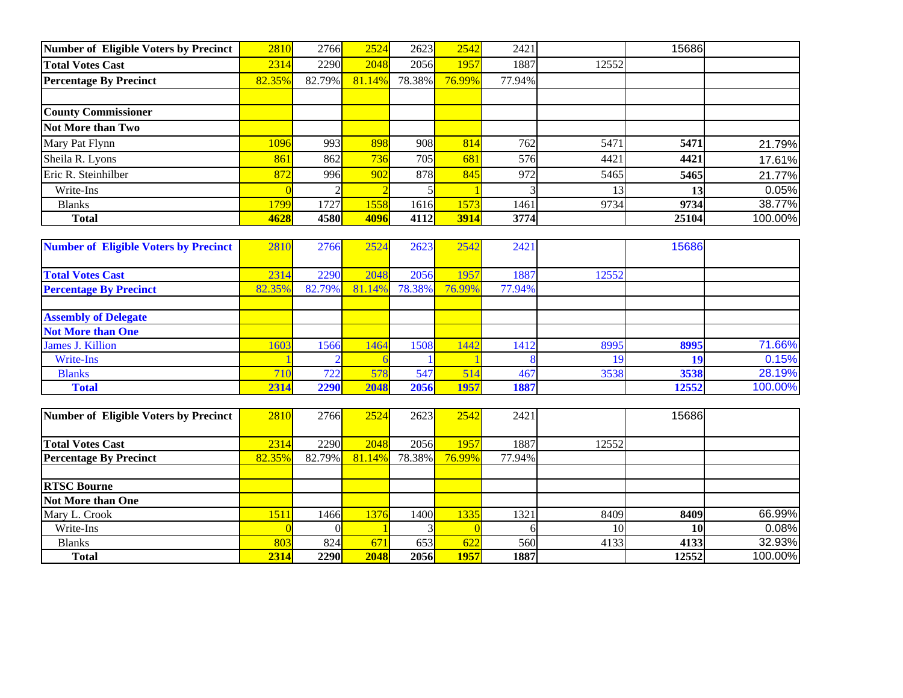| <b>Number of Eligible Voters by Precinct</b>             | 2810           | 2766           | 2524            | 2623           | 2542           | 2421           |       | 15686 |         |
|----------------------------------------------------------|----------------|----------------|-----------------|----------------|----------------|----------------|-------|-------|---------|
| <b>Total Votes Cast</b>                                  | 2314           | 2290           | 2048            | 2056           | 1957           | 1887           | 12552 |       |         |
| <b>Percentage By Precinct</b>                            | 82.35%         | 82.79%         | 81.14%          | 78.38%         | 76.99%         | 77.94%         |       |       |         |
|                                                          |                |                |                 |                |                |                |       |       |         |
| <b>County Commissioner</b>                               |                |                |                 |                |                |                |       |       |         |
| <b>Not More than Two</b>                                 |                |                |                 |                |                |                |       |       |         |
| Mary Pat Flynn                                           | 1096           | 993            | 898             | 908            | 814            | 762            | 5471  | 5471  | 21.79%  |
| Sheila R. Lyons                                          | 861            | 862            | 736             | 705            | 681            | 576            | 4421  | 4421  | 17.61%  |
| Eric R. Steinhilber                                      | 872            | 996            | 902             | 878            | 845            | 972            | 5465  | 5465  | 21.77%  |
| Write-Ins                                                |                | $\overline{c}$ |                 |                |                |                | 13    | 13    | 0.05%   |
| <b>Blanks</b>                                            | 1799           | 1727           | 1558            | 1616           | 1573           | 1461           | 9734  | 9734  | 38.77%  |
| <b>Total</b>                                             | 4628           | 4580           | 4096            | 4112           | 3914           | 3774           |       | 25104 | 100.00% |
|                                                          |                |                |                 |                |                |                |       |       |         |
| <b>Number of Eligible Voters by Precinct</b>             | 2810           | 2766           | 2524            | 2623           | 2542           | 2421           |       | 15686 |         |
|                                                          | 2314           | 2290           | 2048            | 2056           | 1957           | 1887           |       |       |         |
| <b>Total Votes Cast</b><br><b>Percentage By Precinct</b> | 82.35%         | 82.79%         | 81.14%          | 78.38%         | 76.99%         | 77.94%         | 12552 |       |         |
|                                                          |                |                |                 |                |                |                |       |       |         |
| <b>Assembly of Delegate</b>                              |                |                |                 |                |                |                |       |       |         |
| <b>Not More than One</b>                                 |                |                |                 |                |                |                |       |       |         |
| <b>James J. Killion</b>                                  | 1603           | 1566           | 1464            | 1508           | 1442           | 1412           | 8995  | 8995  | 71.66%  |
| <b>Write-Ins</b>                                         |                |                |                 |                |                |                | 19    | 19    | 0.15%   |
| <b>Blanks</b>                                            | 710            | 722            | 578             | 547            | 514            | 467            | 3538  | 3538  | 28.19%  |
| <b>Total</b>                                             | 2314           | 2290           | 2048            | 2056           | 1957           | 1887           |       | 12552 | 100.00% |
|                                                          |                |                |                 |                |                |                |       |       |         |
| Number of Eligible Voters by Precinct                    | 2810           | 2766           | 2524            | 2623           | 2542           | 2421           |       | 15686 |         |
|                                                          |                |                |                 |                |                |                |       |       |         |
| <b>Total Votes Cast</b><br><b>Percentage By Precinct</b> | 2314<br>82.35% | 2290<br>82.79% | 2048<br>81.14%  | 2056<br>78.38% | 1957<br>76.99% | 1887<br>77.94% | 12552 |       |         |
|                                                          |                |                |                 |                |                |                |       |       |         |
| <b>RTSC Bourne</b>                                       |                |                |                 |                |                |                |       |       |         |
| Not More than One                                        |                |                |                 |                |                |                |       |       |         |
| Mary L. Crook                                            | 1511           | 1466           | 1376            | 1400           | 1335           | 1321           | 8409  | 8409  | 66.99%  |
| Write-Ins                                                |                | $\Omega$       |                 |                | $\Omega$       | 6              | 10    | 10    | 0.08%   |
| <b>Blanks</b>                                            | 803            | 824            | 67 <sup>2</sup> | 653            | 622            | 560            | 4133  | 4133  | 32.93%  |
| <b>Total</b>                                             | 2314           | 2290           | 2048            | 2056           | <b>1957</b>    | 1887           |       | 12552 | 100.00% |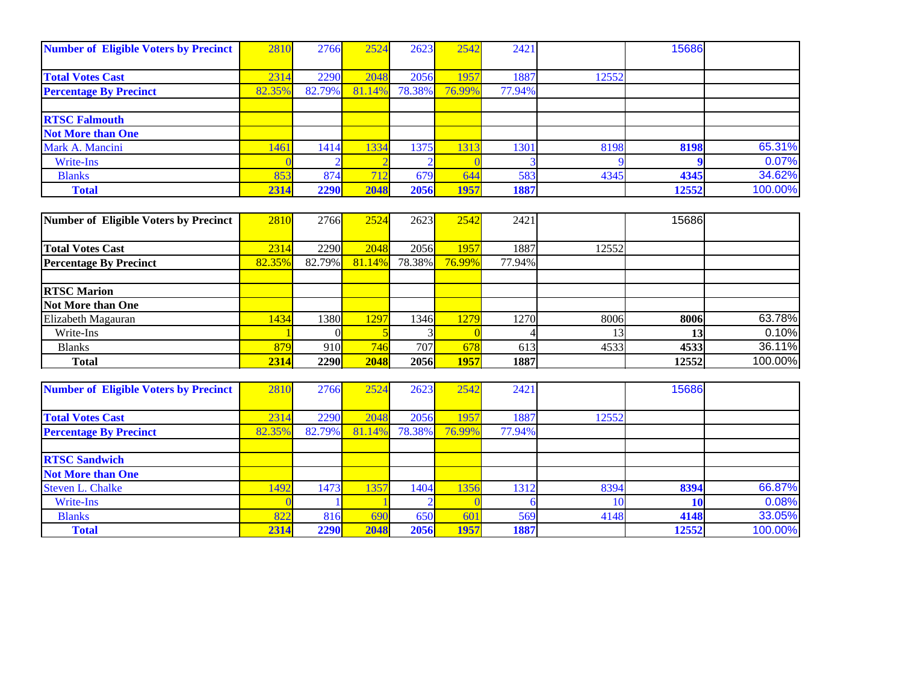| <b>Number of Eligible Voters by Precinct</b> | 2810   | 2766   | 2524   | 2623       | 2542   | 2421   |       | 15686 |         |
|----------------------------------------------|--------|--------|--------|------------|--------|--------|-------|-------|---------|
|                                              |        |        |        |            |        |        |       |       |         |
| <b>Total Votes Cast</b>                      | 2314   | 2290   | 2048   | 2056       | 1957   | 1887   | 12552 |       |         |
| <b>Percentage By Precinct</b>                | 82.359 | 82.79% | 81.14% | 78.38%     | 76.99% | 77.94% |       |       |         |
|                                              |        |        |        |            |        |        |       |       |         |
| <b>RTSC Falmouth</b>                         |        |        |        |            |        |        |       |       |         |
| <b>Not More than One</b>                     |        |        |        |            |        |        |       |       |         |
| Mark A. Mancini                              | 1461   | 1414   | 1334   | 1375       | 1313   | 1301   | 8198  | 8198  | 65.31%  |
| Write-Ins                                    |        |        |        |            |        |        |       |       | 0.07%   |
| <b>Blanks</b>                                | 853    | 874    | 712    | <b>679</b> | 644    | 583    | 4345  | 4345  | 34.62%  |
| <b>Total</b>                                 | 2314   | 2290   | 2048   | 2056       | 1957   | 1887   |       | 12552 | 100.00% |

| Number of Eligible Voters by Precinct | 2810   | 2766   | 2524   | 2623        | 2542   | 2421   |       | 15686 |         |
|---------------------------------------|--------|--------|--------|-------------|--------|--------|-------|-------|---------|
|                                       |        |        |        |             |        |        |       |       |         |
| <b>Total Votes Cast</b>               | 2314   | 2290   | 2048   | 2056        | 1957   | 1887   | 12552 |       |         |
| <b>Percentage By Precinct</b>         | 82.35% | 82.79% | 81.14% | 78.38%      | 76.99% | 77.94% |       |       |         |
|                                       |        |        |        |             |        |        |       |       |         |
| <b>RTSC Marion</b>                    |        |        |        |             |        |        |       |       |         |
| Not More than One                     |        |        |        |             |        |        |       |       |         |
| Elizabeth Magauran                    | 1434   | 1380I  | 1297   | 1346l       | 1279   | 1270   | 8006  | 8006  | 63.78%  |
| Write-Ins                             |        |        |        |             |        |        |       | 13    | 0.10%   |
| <b>Blanks</b>                         | 879    | 910    | 746    | 707         | 678    | 613    | 4533  | 4533  | 36.11%  |
| <b>Total</b>                          | 2314   | 2290   | 2048   | <b>2056</b> | 1957   | 1887   |       | 12552 | 100.00% |

| <b>Number of Eligible Voters by Precinct</b> | 2810   | 2766   | 2524   | 2623       | 2542   | 2421   |       | 15686 |         |
|----------------------------------------------|--------|--------|--------|------------|--------|--------|-------|-------|---------|
|                                              |        |        |        |            |        |        |       |       |         |
| <b>Total Votes Cast</b>                      | 2314   | 2290   | 2048   | 2056       | 1957   | 1887   | 12552 |       |         |
| <b>Percentage By Precinct</b>                | 82.35% | 82.79% | 81.14% | 78.38%     | 76.99% | 77.94% |       |       |         |
|                                              |        |        |        |            |        |        |       |       |         |
| <b>RTSC Sandwich</b>                         |        |        |        |            |        |        |       |       |         |
| <b>Not More than One</b>                     |        |        |        |            |        |        |       |       |         |
| <b>Steven L. Chalke</b>                      | 1497   | 1473   | 1357   | 1404       | 1356   | 1312   | 8394  | 8394  | 66.87%  |
| Write-Ins                                    |        |        |        |            |        |        |       |       | 0.08%   |
| <b>Blanks</b>                                | 822    | 816    | 690    | <b>650</b> | 601    | 569    | 4148  | 4148  | 33.05%  |
| <b>Total</b>                                 | 2314   | 2290   | 2048   | 2056       | 1957   | 1887   |       | 12552 | 100.00% |